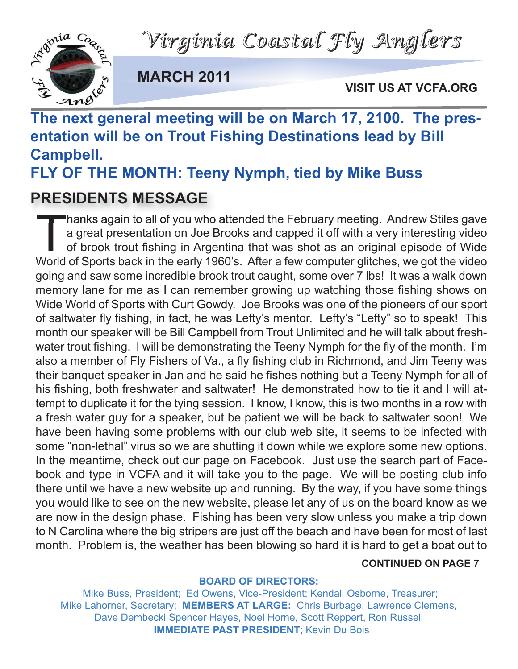



**MARCH 2011**

**VISIT US AT VCFA.ORG**

# **The next general meeting will be on March 17, 2100. The presentation will be on Trout Fishing Destinations lead by Bill Campbell.**

**FLY OF THE MONTH: Teeny Nymph, tied by Mike Buss**

## **PRESIDENTS MESSAGE**

Thanks again to all of you who attended the February meeting. Andrew Stiles gave<br>a great presentation on Joe Brooks and capped it off with a very interesting video<br>of brook trout fishing in Argentina that was shot as an or a great presentation on Joe Brooks and capped it off with a very interesting video of brook trout fishing in Argentina that was shot as an original episode of Wide World of Sports back in the early 1960's. After a few computer glitches, we got the video going and saw some incredible brook trout caught, some over 7 lbs! It was a walk down memory lane for me as I can remember growing up watching those fishing shows on Wide World of Sports with Curt Gowdy. Joe Brooks was one of the pioneers of our sport of saltwater fly fishing, in fact, he was Lefty's mentor. Lefty's "Lefty" so to speak! This month our speaker will be Bill Campbell from Trout Unlimited and he will talk about freshwater trout fishing. I will be demonstrating the Teeny Nymph for the fly of the month. I'm also a member of Fly Fishers of Va., a fly fishing club in Richmond, and Jim Teeny was their banquet speaker in Jan and he said he fishes nothing but a Teeny Nymph for all of his fishing, both freshwater and saltwater! He demonstrated how to tie it and I will attempt to duplicate it for the tying session. I know, I know, this is two months in a row with a fresh water guy for a speaker, but be patient we will be back to saltwater soon! We have been having some problems with our club web site, it seems to be infected with some "non-lethal" virus so we are shutting it down while we explore some new options. In the meantime, check out our page on Facebook. Just use the search part of Facebook and type in VCFA and it will take you to the page. We will be posting club info there until we have a new website up and running. By the way, if you have some things you would like to see on the new website, please let any of us on the board know as we are now in the design phase. Fishing has been very slow unless you make a trip down to N Carolina where the big stripers are just off the beach and have been for most of last month. Problem is, the weather has been blowing so hard it is hard to get a boat out to

#### **CONTINUED ON PAGE 7**

#### **BOARD OF DIRECTORS:**

Mike Buss, President; Ed Owens, Vice-President; Kendall Osborne, Treasurer; Mike Lahorner, Secretary; **MEMBERS AT LARGE:** Chris Burbage, Lawrence Clemens, Dave Dembecki Spencer Hayes, Noel Horne, Scott Reppert, Ron Russell **IMMEDIATE PAST PRESIDENT**; Kevin Du Bois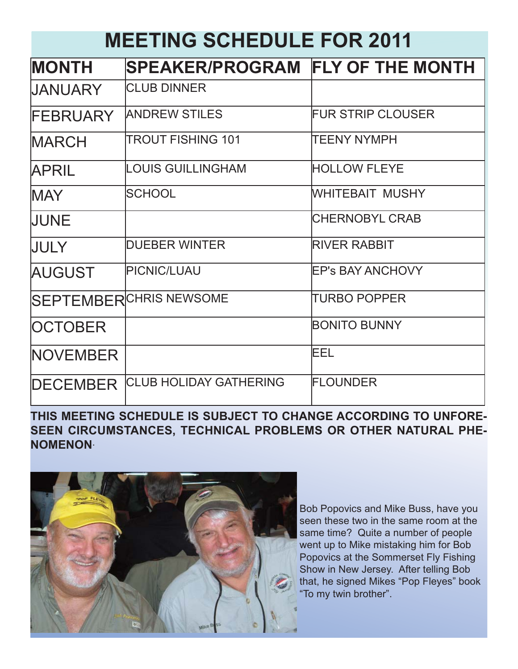## **MEETING SCHEDULE FOR 2011**

| <b>MONTH</b>    | SPEAKER/PROGRAM FLY OF THE MONTH |                          |
|-----------------|----------------------------------|--------------------------|
| <b>UANUARY</b>  | <b>CLUB DINNER</b>               |                          |
| <b>FEBRUARY</b> | <b>ANDREW STILES</b>             | <b>FUR STRIP CLOUSER</b> |
| <b>MARCH</b>    | <b>TROUT FISHING 101</b>         | <b>TEENY NYMPH</b>       |
| <b>APRIL</b>    | <b>LOUIS GUILLINGHAM</b>         | <b>HOLLOW FLEYE</b>      |
| <b>IMAY</b>     | <b>SCHOOL</b>                    | WHITEBAIT MUSHY          |
| <b>JUNE</b>     |                                  | <b>CHERNOBYL CRAB</b>    |
| <b>JULY</b>     | <b>DUEBER WINTER</b>             | <b>RIVER RABBIT</b>      |
| <b>AUGUST</b>   | <b>PICNIC/LUAU</b>               | <b>EP's BAY ANCHOVY</b>  |
|                 | <b>SEPTEMBERCHRIS NEWSOME</b>    | <b>TURBO POPPER</b>      |
| <b>OCTOBER</b>  |                                  | <b>BONITO BUNNY</b>      |
| <b>NOVEMBER</b> |                                  | EEL                      |
| <b>DECEMBER</b> | <b>CLUB HOLIDAY GATHERING</b>    | FLOUNDER                 |

### **THIS MEETING SCHEDULE IS SUBJECT TO CHANGE ACCORDING TO UNFORE-SEEN CIRCUMSTANCES, TECHNICAL PROBLEMS OR OTHER NATURAL PHE-NOMENON**.



Bob Popovics and Mike Buss, have you seen these two in the same room at the same time? Quite a number of people went up to Mike mistaking him for Bob Popovics at the Sommerset Fly Fishing Show in New Jersey. After telling Bob that, he signed Mikes "Pop Fleyes" book "To my twin brother".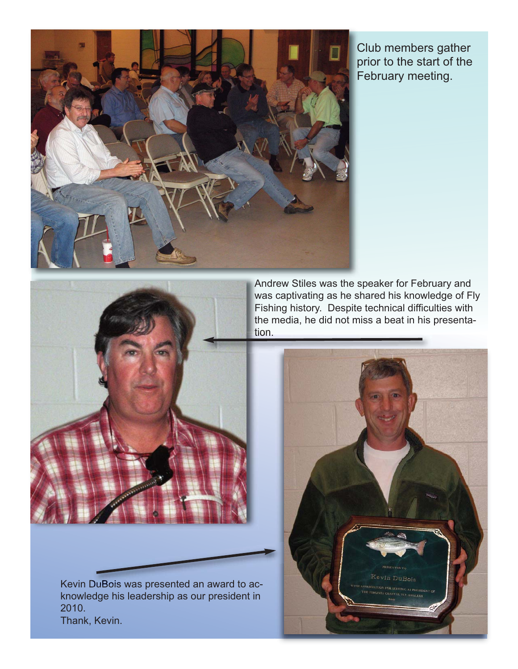

Club members gather prior to the start of the February meeting.



Kevin DuBois was presented an award to acknowledge his leadership as our president in 2010. Thank, Kevin.

Andrew Stiles was the speaker for February and was captivating as he shared his knowledge of Fly Fishing history. Despite technical difficulties with the media, he did not miss a beat in his presentation.

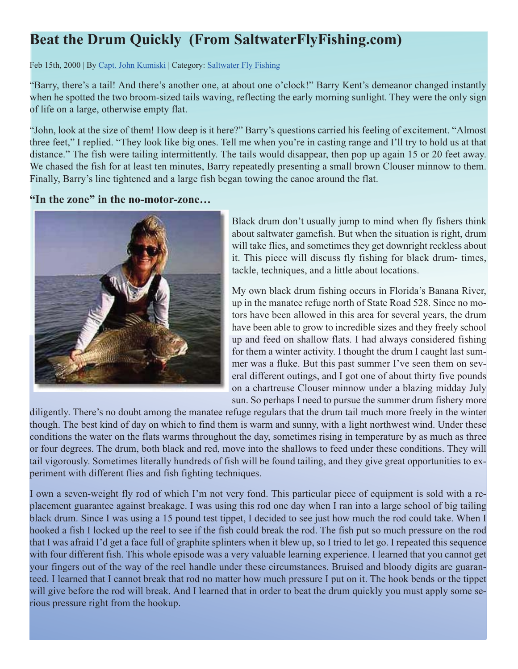## **Beat the Drum Quickly (From SaltwaterFlyFishing.com)**

Feb 15th, 2000 | By Capt. John Kumiski | Category: Saltwater Fly Fishing

"Barry, there's a tail! And there's another one, at about one o'clock!" Barry Kent's demeanor changed instantly when he spotted the two broom-sized tails waving, reflecting the early morning sunlight. They were the only sign of life on a large, otherwise empty flat.

"John, look at the size of them! How deep is it here?" Barry's questions carried his feeling of excitement. "Almost three feet," I replied. "They look like big ones. Tell me when you're in casting range and I'll try to hold us at that distance." The fish were tailing intermittently. The tails would disappear, then pop up again 15 or 20 feet away. We chased the fish for at least ten minutes, Barry repeatedly presenting a small brown Clouser minnow to them. Finally, Barry's line tightened and a large fish began towing the canoe around the flat.

**"In the zone" in the no-motor-zone…**



Black drum don't usually jump to mind when fly fishers think about saltwater gamefish. But when the situation is right, drum will take flies, and sometimes they get downright reckless about it. This piece will discuss fly fishing for black drum- times, tackle, techniques, and a little about locations.

My own black drum fishing occurs in Florida's Banana River, up in the manatee refuge north of State Road 528. Since no motors have been allowed in this area for several years, the drum have been able to grow to incredible sizes and they freely school up and feed on shallow flats. I had always considered fishing for them a winter activity. I thought the drum I caught last summer was a fluke. But this past summer I've seen them on several different outings, and I got one of about thirty five pounds on a chartreuse Clouser minnow under a blazing midday July sun. So perhaps I need to pursue the summer drum fishery more

diligently. There's no doubt among the manatee refuge regulars that the drum tail much more freely in the winter though. The best kind of day on which to find them is warm and sunny, with a light northwest wind. Under these conditions the water on the flats warms throughout the day, sometimes rising in temperature by as much as three or four degrees. The drum, both black and red, move into the shallows to feed under these conditions. They will tail vigorously. Sometimes literally hundreds of fish will be found tailing, and they give great opportunities to experiment with different flies and fish fighting techniques.

I own a seven-weight fly rod of which I'm not very fond. This particular piece of equipment is sold with a replacement guarantee against breakage. I was using this rod one day when I ran into a large school of big tailing black drum. Since I was using a 15 pound test tippet, I decided to see just how much the rod could take. When I hooked a fish I locked up the reel to see if the fish could break the rod. The fish put so much pressure on the rod that I was afraid I'd get a face full of graphite splinters when it blew up, so I tried to let go. I repeated this sequence with four different fish. This whole episode was a very valuable learning experience. I learned that you cannot get your fingers out of the way of the reel handle under these circumstances. Bruised and bloody digits are guaranteed. I learned that I cannot break that rod no matter how much pressure I put on it. The hook bends or the tippet will give before the rod will break. And I learned that in order to beat the drum quickly you must apply some serious pressure right from the hookup.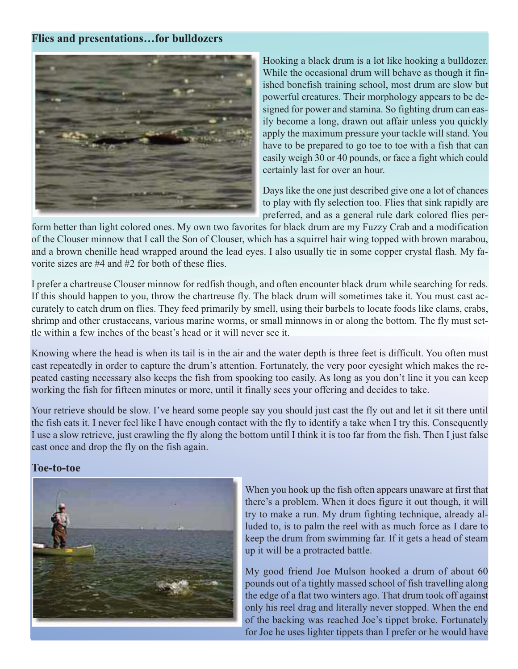#### **Flies and presentations…for bulldozers**



Hooking a black drum is a lot like hooking a bulldozer. While the occasional drum will behave as though it finished bonefish training school, most drum are slow but powerful creatures. Their morphology appears to be designed for power and stamina. So fighting drum can easily become a long, drawn out affair unless you quickly apply the maximum pressure your tackle will stand. You have to be prepared to go toe to toe with a fish that can easily weigh 30 or 40 pounds, or face a fight which could certainly last for over an hour.

Days like the one just described give one a lot of chances to play with fly selection too. Flies that sink rapidly are preferred, and as a general rule dark colored flies per-

form better than light colored ones. My own two favorites for black drum are my Fuzzy Crab and a modification of the Clouser minnow that I call the Son of Clouser, which has a squirrel hair wing topped with brown marabou, and a brown chenille head wrapped around the lead eyes. I also usually tie in some copper crystal flash. My favorite sizes are #4 and #2 for both of these flies.

I prefer a chartreuse Clouser minnow for redfish though, and often encounter black drum while searching for reds. If this should happen to you, throw the chartreuse fly. The black drum will sometimes take it. You must cast accurately to catch drum on flies. They feed primarily by smell, using their barbels to locate foods like clams, crabs, shrimp and other crustaceans, various marine worms, or small minnows in or along the bottom. The fly must settle within a few inches of the beast's head or it will never see it.

Knowing where the head is when its tail is in the air and the water depth is three feet is difficult. You often must cast repeatedly in order to capture the drum's attention. Fortunately, the very poor eyesight which makes the repeated casting necessary also keeps the fish from spooking too easily. As long as you don't line it you can keep working the fish for fifteen minutes or more, until it finally sees your offering and decides to take.

Your retrieve should be slow. I've heard some people say you should just cast the fly out and let it sit there until the fish eats it. I never feel like I have enough contact with the fly to identify a take when I try this. Consequently I use a slow retrieve, just crawling the fly along the bottom until I think it is too far from the fish. Then I just false cast once and drop the fly on the fish again.

#### **Toe-to-toe**



When you hook up the fish often appears unaware at first that there's a problem. When it does figure it out though, it will try to make a run. My drum fighting technique, already alluded to, is to palm the reel with as much force as I dare to keep the drum from swimming far. If it gets a head of steam up it will be a protracted battle.

My good friend Joe Mulson hooked a drum of about 60 pounds out of a tightly massed school of fish travelling along the edge of a flat two winters ago. That drum took off against only his reel drag and literally never stopped. When the end of the backing was reached Joe's tippet broke. Fortunately for Joe he uses lighter tippets than I prefer or he would have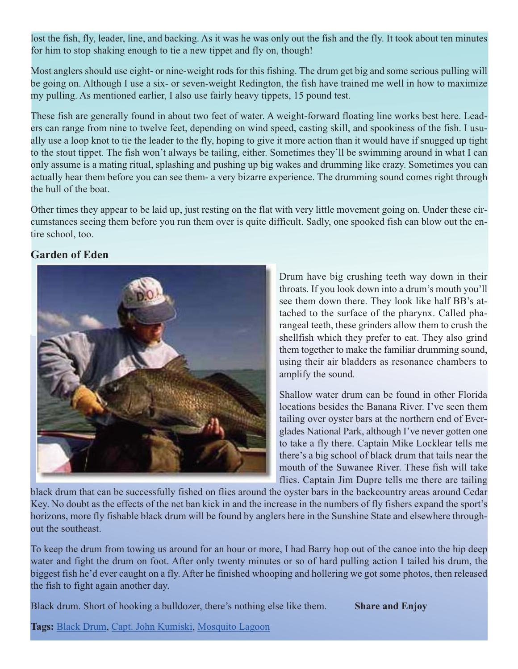lost the fish, fly, leader, line, and backing. As it was he was only out the fish and the fly. It took about ten minutes for him to stop shaking enough to tie a new tippet and fly on, though!

Most anglers should use eight- or nine-weight rods for this fishing. The drum get big and some serious pulling will be going on. Although I use a six- or seven-weight Redington, the fish have trained me well in how to maximize my pulling. As mentioned earlier, I also use fairly heavy tippets, 15 pound test.

These fish are generally found in about two feet of water. A weight-forward floating line works best here. Leaders can range from nine to twelve feet, depending on wind speed, casting skill, and spookiness of the fish. I usually use a loop knot to tie the leader to the fly, hoping to give it more action than it would have if snugged up tight to the stout tippet. The fish won't always be tailing, either. Sometimes they'll be swimming around in what I can only assume is a mating ritual, splashing and pushing up big wakes and drumming like crazy. Sometimes you can actually hear them before you can see them- a very bizarre experience. The drumming sound comes right through the hull of the boat.

Other times they appear to be laid up, just resting on the flat with very little movement going on. Under these circumstances seeing them before you run them over is quite difficult. Sadly, one spooked fish can blow out the entire school, too.

#### **Garden of Eden**



Drum have big crushing teeth way down in their throats. If you look down into a drum's mouth you'll see them down there. They look like half BB's attached to the surface of the pharynx. Called pharangeal teeth, these grinders allow them to crush the shellfish which they prefer to eat. They also grind them together to make the familiar drumming sound, using their air bladders as resonance chambers to amplify the sound.

Shallow water drum can be found in other Florida locations besides the Banana River. I've seen them tailing over oyster bars at the northern end of Everglades National Park, although I've never gotten one to take a fly there. Captain Mike Locklear tells me there's a big school of black drum that tails near the mouth of the Suwanee River. These fish will take flies. Captain Jim Dupre tells me there are tailing

black drum that can be successfully fished on flies around the oyster bars in the backcountry areas around Cedar Key. No doubt as the effects of the net ban kick in and the increase in the numbers of fly fishers expand the sport's horizons, more fly fishable black drum will be found by anglers here in the Sunshine State and elsewhere throughout the southeast.

To keep the drum from towing us around for an hour or more, I had Barry hop out of the canoe into the hip deep water and fight the drum on foot. After only twenty minutes or so of hard pulling action I tailed his drum, the biggest fish he'd ever caught on a fly. After he finished whooping and hollering we got some photos, then released the fish to fight again another day.

Black drum. Short of hooking a bulldozer, there's nothing else like them. **Share and Enjoy**

**Tags:** Black Drum, Capt. John Kumiski, Mosquito Lagoon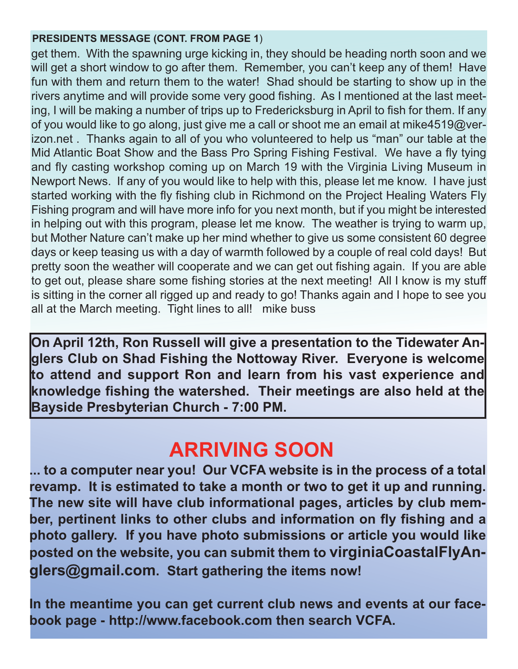#### **PRESIDENTS MESSAGE (CONT. FROM PAGE 1**)

get them. With the spawning urge kicking in, they should be heading north soon and we will get a short window to go after them. Remember, you can't keep any of them! Have fun with them and return them to the water! Shad should be starting to show up in the rivers anytime and will provide some very good fishing. As I mentioned at the last meeting, I will be making a number of trips up to Fredericksburg in April to fish for them. If any of you would like to go along, just give me a call or shoot me an email at mike4519@verizon.net . Thanks again to all of you who volunteered to help us "man" our table at the Mid Atlantic Boat Show and the Bass Pro Spring Fishing Festival. We have a fly tying and fly casting workshop coming up on March 19 with the Virginia Living Museum in Newport News. If any of you would like to help with this, please let me know. I have just started working with the fly fishing club in Richmond on the Project Healing Waters Fly Fishing program and will have more info for you next month, but if you might be interested in helping out with this program, please let me know. The weather is trying to warm up, but Mother Nature can't make up her mind whether to give us some consistent 60 degree days or keep teasing us with a day of warmth followed by a couple of real cold days! But pretty soon the weather will cooperate and we can get out fishing again. If you are able to get out, please share some fishing stories at the next meeting! All I know is my stuff is sitting in the corner all rigged up and ready to go! Thanks again and I hope to see you all at the March meeting. Tight lines to all! mike buss

**On April 12th, Ron Russell will give a presentation to the Tidewater Anglers Club on Shad Fishing the Nottoway River. Everyone is welcome to attend and support Ron and learn from his vast experience and knowledge fishing the watershed. Their meetings are also held at the Bayside Presbyterian Church - 7:00 PM.**

## **ARRIVING SOON**

**... to a computer near you! Our VCFA website is in the process of a total revamp. It is estimated to take a month or two to get it up and running. The new site will have club informational pages, articles by club member, pertinent links to other clubs and information on fly fishing and a photo gallery. If you have photo submissions or article you would like posted on the website, you can submit them to virginiaCoastalFlyAnglers@gmail.com. Start gathering the items now!**

**In the meantime you can get current club news and events at our facebook page - http://www.facebook.com then search VCFA.**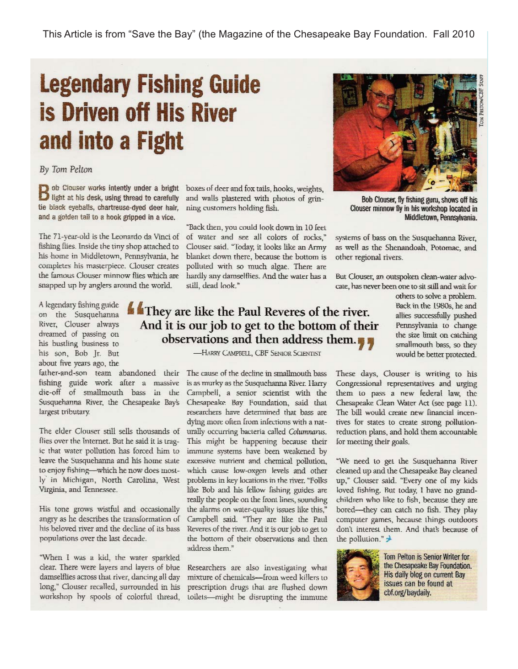## **Legendary Fishing Guide is Driven off His River** and into a Fight

By Tom Pelton

ob Clouser works intently under a bright  $\Box$  light at his desk, using thread to carefully tie black eyeballs, chartreuse-dved deer hair. and a golden tail to a hook gripped in a vice.

The 71-year-old is the Leonardo da Vinci of fishing flies. Inside the tiny shop attached to his home in Middletown, Pennsylvania, he completes his masterpiece. Clouser creates the famous Clouser minnow flies which are snapped up by anglers around the world.

A legendary fishing guide on the Susquehanna River, Clouser always dreamed of passing on his bustling business to his son, Bob Jr. But about five years ago, the

fishing guide work after a massive die-off of smallmouth bass in the Susquehanna River, the Chesapeake Bay's largest tributary.

The elder Clouser still sells thousands of flies over the Internet. But he said it is tragic that water pollution has forced him to leave the Susquehanna and his home state to enjoy fishing-which he now does mostly in Michigan, North Carolina, West Virginia, and Tennessee.

His tone grows wistful and occasionally angry as he describes the transformation of his beloved river and the decline of its bass populations over the last decade.

"When I was a kid, the water sparkled clear. There were layers and layers of blue damselflies across that river, dancing all day long," Clouser recalled, surrounded in his workshop by spools of colorful thread,

boxes of deer and fox tails, hooks, weights, and walls plastered with photos of grinning customers holding fish.

"Back then, you could look down in 10 feet of water and see all colors of rocks," Clouser said. "Today, it looks like an Army blanket down there, because the bottom is polluted with so much algae. There are hardly any damselflies. And the water has a still, dead look."

### They are like the Paul Reveres of the river. And it is our job to get to the bottom of their observations and then address them.

-HARRY CAMPBELL, CBF SENIOR SCIENTIST

father-and-son team abandoned their The cause of the decline in smallmouth bass is as murky as the Susquehanna River. Harry Campbell, a senior scientist with the Chesapeake Bay Foundation, said that researchers have determined that bass are dying more often from infections with a naturally occurring bacteria called Columnarus. This might be happening because their immune systems have been weakened by excessive nutrient and chemical pollution, which cause low-oxgen levels and other problems in key locations in the river. "Folks like Bob and his fellow fishing guides are really the people on the front lines, sounding the alarms on water-quality issues like this," Campbell said. "They are like the Paul Reveres of the river. And it is our job to get to the bottom of their observations and then address them."

> Researchers are also investigating what mixture of chemicals-from weed killers to prescription drugs that are flushed down toilets-might be disrupting the immune



Bob Clouser, fly fishing guru, shows off his Clouser minnow fly in his workshop located in Middletown, Pennsylvania.

systems of bass on the Susquehanna River, as well as the Shenandoah, Potomac, and other regional rivers.

But Clouser, an outspoken clean-water advocate, has never been one to sit still and wait for

> others to solve a problem. Back in the 1980s, he and allies successfully pushed Pennsylvania to change the size limit on catching smallmouth bass, so they would be better protected.

These days, Clouser is writing to his Congressional representatives and urging them to pass a new federal law, the Chesapeake Clean Water Act (see page 11). The bill would create new financial incentives for states to create strong pollutionreduction plans, and hold them accountable for meeting their goals.

"We need to get the Susquehanna River cleaned up and the Chesapeake Bay cleaned up," Clouser said. "Every one of my kids loved fishing. But today, I have no grandchildren who like to fish, because they are bored-they can catch no fish. They play computer games, because things outdoors don't interest them. And that's because of the pollution." $\rightarrow$ 



Tom Pelton is Senior Writer for the Chesapeake Bay Foundation. His daily blog on current Bay issues can be found at cbf.org/baydaily.